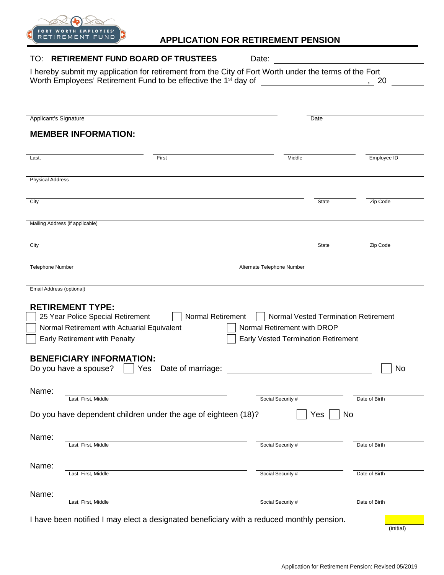

## **APPLICATION FOR RETIREMENT PENSION**

| <b>RETIREMENT FUND BOARD OF TRUSTEES</b><br>TO:                                                                                                                                      | Date:                                                                                                                                                                                                                                |               |
|--------------------------------------------------------------------------------------------------------------------------------------------------------------------------------------|--------------------------------------------------------------------------------------------------------------------------------------------------------------------------------------------------------------------------------------|---------------|
| I hereby submit my application for retirement from the City of Fort Worth under the terms of the Fort<br>Worth Employees' Retirement Fund to be effective the 1 <sup>st</sup> day of | <u>and the company of the company of the company of the company of the company of the company of the company of the company of the company of the company of the company of the company of the company of the company of the com</u> | , 20          |
|                                                                                                                                                                                      |                                                                                                                                                                                                                                      |               |
| Applicant's Signature                                                                                                                                                                | Date                                                                                                                                                                                                                                 |               |
| <b>MEMBER INFORMATION:</b>                                                                                                                                                           |                                                                                                                                                                                                                                      |               |
| First<br>Last,                                                                                                                                                                       | Middle                                                                                                                                                                                                                               | Employee ID   |
|                                                                                                                                                                                      |                                                                                                                                                                                                                                      |               |
| <b>Physical Address</b>                                                                                                                                                              |                                                                                                                                                                                                                                      |               |
| City                                                                                                                                                                                 | <b>State</b>                                                                                                                                                                                                                         | Zip Code      |
| Mailing Address (if applicable)                                                                                                                                                      |                                                                                                                                                                                                                                      |               |
| City                                                                                                                                                                                 | <b>State</b>                                                                                                                                                                                                                         | Zip Code      |
| <b>Telephone Number</b>                                                                                                                                                              | Alternate Telephone Number                                                                                                                                                                                                           |               |
| Email Address (optional)                                                                                                                                                             |                                                                                                                                                                                                                                      |               |
| <b>RETIREMENT TYPE:</b>                                                                                                                                                              |                                                                                                                                                                                                                                      |               |
| 25 Year Police Special Retirement<br>Normal Retirement                                                                                                                               | Normal Vested Termination Retirement                                                                                                                                                                                                 |               |
| Normal Retirement with Actuarial Equivalent                                                                                                                                          | Normal Retirement with DROP                                                                                                                                                                                                          |               |
| Early Retirement with Penalty                                                                                                                                                        | <b>Early Vested Termination Retirement</b>                                                                                                                                                                                           |               |
| <b>BENEFICIARY INFORMATION:</b><br>Do you have a spouse?<br>Yes<br>Date of marriage:                                                                                                 |                                                                                                                                                                                                                                      | No            |
| Name:<br>Last, First, Middle                                                                                                                                                         | Social Security #                                                                                                                                                                                                                    | Date of Birth |
| Do you have dependent children under the age of eighteen (18)?                                                                                                                       | Yes                                                                                                                                                                                                                                  | No            |
| Name:<br>Last, First, Middle                                                                                                                                                         | Social Security #                                                                                                                                                                                                                    | Date of Birth |
| Name:                                                                                                                                                                                |                                                                                                                                                                                                                                      |               |
| Last, First, Middle                                                                                                                                                                  | Social Security #                                                                                                                                                                                                                    | Date of Birth |
| Name:<br>Last, First, Middle                                                                                                                                                         | Social Security #                                                                                                                                                                                                                    | Date of Birth |
| I have been notified I may elect a designated beneficiary with a reduced monthly pension.                                                                                            |                                                                                                                                                                                                                                      |               |

(initial)